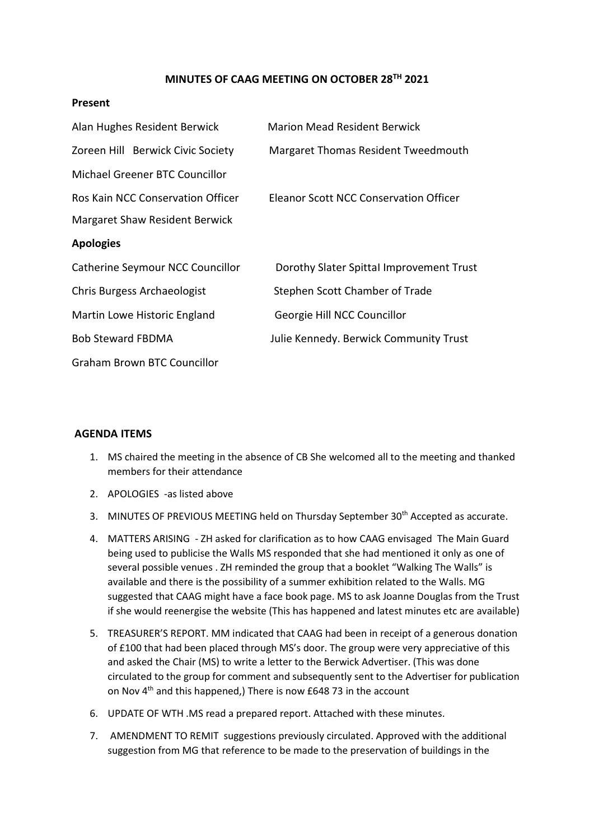## **MINUTES OF CAAG MEETING ON OCTOBER 28TH 2021**

## **Present**

| Alan Hughes Resident Berwick       | <b>Marion Mead Resident Berwick</b>      |
|------------------------------------|------------------------------------------|
| Zoreen Hill Berwick Civic Society  | Margaret Thomas Resident Tweedmouth      |
| Michael Greener BTC Councillor     |                                          |
| Ros Kain NCC Conservation Officer  | Eleanor Scott NCC Conservation Officer   |
| Margaret Shaw Resident Berwick     |                                          |
| <b>Apologies</b>                   |                                          |
| Catherine Seymour NCC Councillor   | Dorothy Slater Spittal Improvement Trust |
| Chris Burgess Archaeologist        | Stephen Scott Chamber of Trade           |
| Martin Lowe Historic England       | Georgie Hill NCC Councillor              |
| <b>Bob Steward FBDMA</b>           | Julie Kennedy. Berwick Community Trust   |
| <b>Graham Brown BTC Councillor</b> |                                          |

## **AGENDA ITEMS**

- 1. MS chaired the meeting in the absence of CB She welcomed all to the meeting and thanked members for their attendance
- 2. APOLOGIES -as listed above
- 3. MINUTES OF PREVIOUS MEETING held on Thursday September 30<sup>th</sup> Accepted as accurate.
- 4. MATTERS ARISING ZH asked for clarification as to how CAAG envisaged The Main Guard being used to publicise the Walls MS responded that she had mentioned it only as one of several possible venues . ZH reminded the group that a booklet "Walking The Walls" is available and there is the possibility of a summer exhibition related to the Walls. MG suggested that CAAG might have a face book page. MS to ask Joanne Douglas from the Trust if she would reenergise the website (This has happened and latest minutes etc are available)
- 5. TREASURER'S REPORT. MM indicated that CAAG had been in receipt of a generous donation of £100 that had been placed through MS's door. The group were very appreciative of this and asked the Chair (MS) to write a letter to the Berwick Advertiser. (This was done circulated to the group for comment and subsequently sent to the Advertiser for publication on Nov  $4<sup>th</sup>$  and this happened,) There is now £648 73 in the account
- 6. UPDATE OF WTH .MS read a prepared report. Attached with these minutes.
- 7. AMENDMENT TO REMIT suggestions previously circulated. Approved with the additional suggestion from MG that reference to be made to the preservation of buildings in the